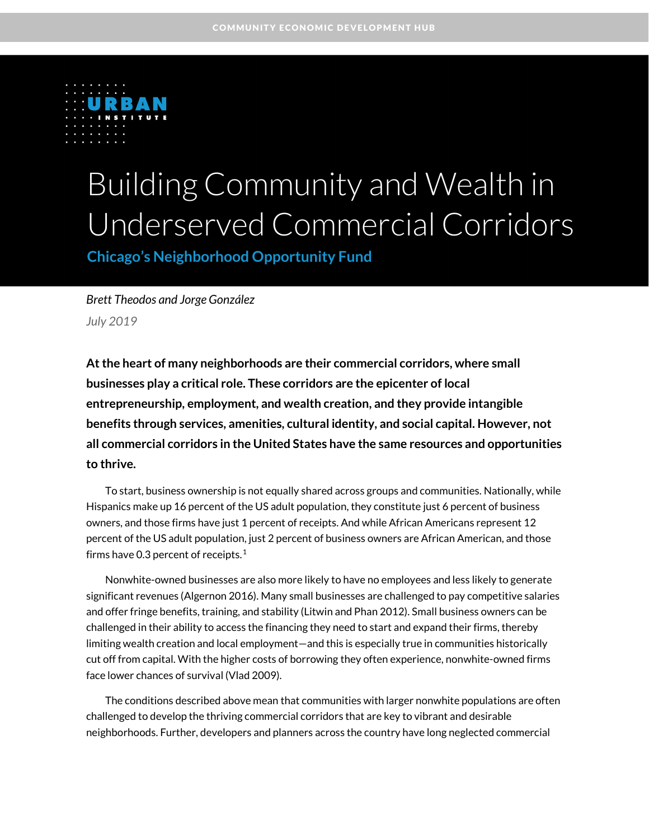

# Building Community and Wealth in Underserved Commercial Corridors

**Chicago's Neighborhood Opportunity Fund**

*Brett Theodos and Jorge González July 2019*

**At the heart of many neighborhoods are their commercial corridors, where small businesses play a critical role. These corridors are the epicenter of local entrepreneurship, employment, and wealth creation, and they provide intangible benefits through services, amenities, cultural identity, and social capital. However, not all commercial corridors in the United States have the same resources and opportunities to thrive.**

To start, business ownership is not equally shared across groups and communities. Nationally, while Hispanics make up 16 percent of the US adult population, they constitute just 6 percent of business owners, and those firms have just 1 percent of receipts. And while African Americans represent 12 percent of the US adult population, just 2 percent of business owners are African American, and those firms have 0.3 percent of receipts.<sup>[1](#page-12-0)</sup>

Nonwhite-owned businesses are also more likely to have no employees and less likely to generate significant revenues (Algernon 2016). Many small businesses are challenged to pay competitive salaries and offer fringe benefits, training, and stability (Litwin and Phan 2012). Small business owners can be challenged in their ability to access the financing they need to start and expand their firms, thereby limiting wealth creation and local employment—and this is especially true in communities historically cut off from capital. With the higher costs of borrowing they often experience, nonwhite-owned firms face lower chances of survival (Vlad 2009).

The conditions described above mean that communities with larger nonwhite populations are often challenged to develop the thriving commercial corridors that are key to vibrant and desirable neighborhoods. Further, developers and planners across the country have long neglected commercial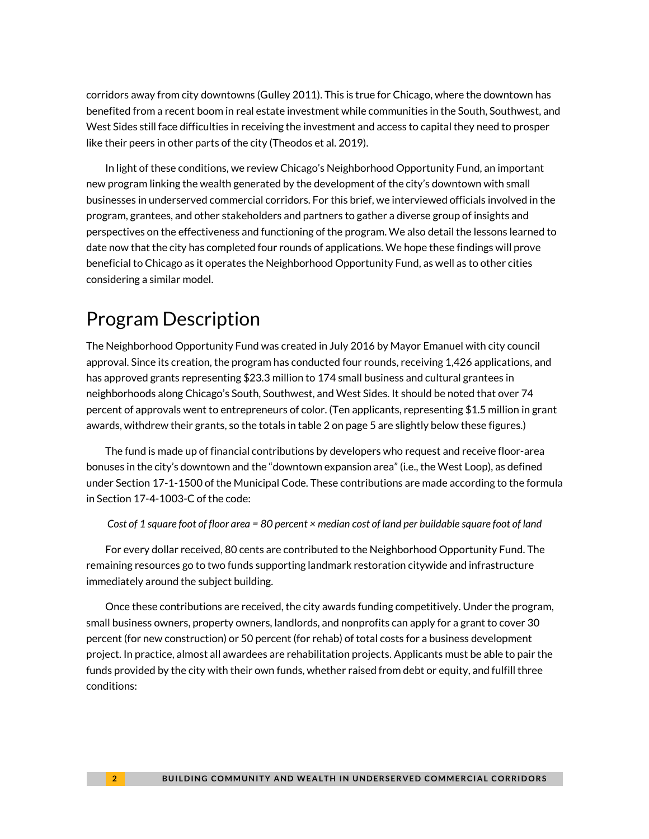corridors away from city downtowns (Gulley 2011). This is true for Chicago, where the downtown has benefited from a recent boom in real estate investment while communities in the South, Southwest, and West Sides still face difficulties in receiving the investment and access to capital they need to prosper like their peers in other parts of the city (Theodos et al. 2019).

In light of these conditions, we review Chicago's Neighborhood Opportunity Fund, an important new program linking the wealth generated by the development of the city's downtown with small businesses in underserved commercial corridors. For this brief, we interviewed officials involved in the program, grantees, and other stakeholders and partners to gather a diverse group of insights and perspectives on the effectiveness and functioning of the program. We also detail the lessons learned to date now that the city has completed four rounds of applications. We hope these findings will prove beneficial to Chicago as it operates the Neighborhood Opportunity Fund, as well as to other cities considering a similar model.

# Program Description

The Neighborhood Opportunity Fund was created in July 2016 by Mayor Emanuel with city council approval. Since its creation, the program has conducted four rounds, receiving 1,426 applications, and has approved grants representing \$23.3 million to 174 small business and cultural grantees in neighborhoods along Chicago's South, Southwest, and West Sides. It should be noted that over 74 percent of approvals went to entrepreneurs of color. (Ten applicants, representing \$1.5 million in grant awards, withdrew their grants, so the totals in table 2 on page 5 are slightly below these figures.)

The fund is made up of financial contributions by developers who request and receive floor-area bonuses in the city's downtown and the "downtown expansion area" (i.e., the West Loop), as defined under Section 17-1-1500 of the Municipal Code. These contributions are made according to the formula in Section 17-4-1003-C of the code:

*Cost of 1 square foot of floor area = 80 percent × median cost of land per buildable square foot of land*

For every dollar received, 80 cents are contributed to the Neighborhood Opportunity Fund. The remaining resources go to two funds supporting landmark restoration citywide and infrastructure immediately around the subject building.

Once these contributions are received, the city awards funding competitively. Under the program, small business owners, property owners, landlords, and nonprofits can apply for a grant to cover 30 percent (for new construction) or 50 percent (for rehab) of total costs for a business development project. In practice, almost all awardees are rehabilitation projects. Applicants must be able to pair the funds provided by the city with their own funds, whether raised from debt or equity, and fulfill three conditions: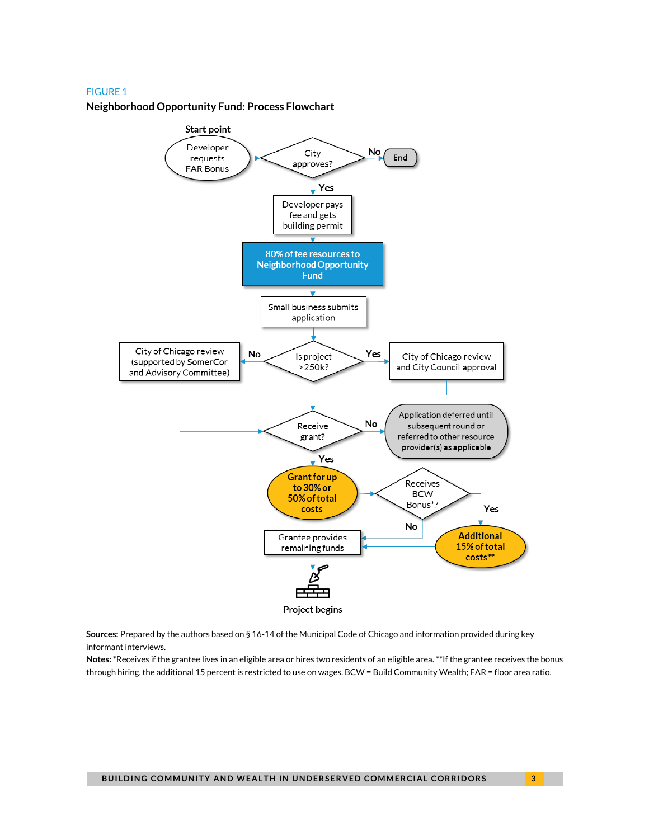#### FIGURE 1

**Neighborhood Opportunity Fund: Process Flowchart**



**Sources:** Prepared by the authors based on § 16-14 of the Municipal Code of Chicago and information provided during key informant interviews.

**Notes:** \*Receives if the grantee lives in an eligible area or hires two residents of an eligible area. \*\*If the grantee receives the bonus through hiring, the additional 15 percent is restricted to use on wages. BCW = Build Community Wealth; FAR = floor area ratio.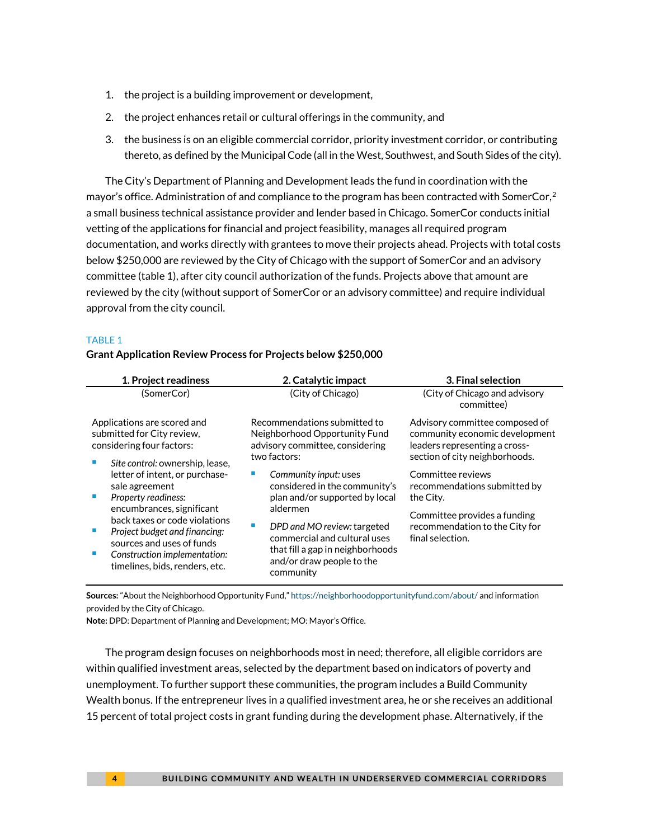- 1. the project is a building improvement or development,
- 2. the project enhances retail or cultural offerings in the community, and
- 3. the business is on an eligible commercial corridor, priority investment corridor, or contributing thereto, as defined by the Municipal Code (all in the West, Southwest, and South Sides of the city).

The City's Department of Planning and Development leads the fund in coordination with the mayor's office. Administration of and compliance to the program has been contracted with SomerCor,<sup>[2](#page-12-1)</sup> a small business technical assistance provider and lender based in Chicago. SomerCor conducts initial vetting of the applications for financial and project feasibility, manages all required program documentation, and works directly with grantees to move their projects ahead. Projects with total costs below \$250,000 are reviewed by the City of Chicago with the support of SomerCor and an advisory committee (table 1), after city council authorization of the funds. Projects above that amount are reviewed by the city (without support of SomerCor or an advisory committee) and require individual approval from the city council.

#### TABLE 1

#### **Grant Application Review Process for Projects below \$250,000**

| 1. Project readiness                                                                                                                                                                                                                                                  | 2. Catalytic impact                                                                                                                                                                                                                                            | 3. Final selection                                                                                                                                   |  |
|-----------------------------------------------------------------------------------------------------------------------------------------------------------------------------------------------------------------------------------------------------------------------|----------------------------------------------------------------------------------------------------------------------------------------------------------------------------------------------------------------------------------------------------------------|------------------------------------------------------------------------------------------------------------------------------------------------------|--|
| (SomerCor)                                                                                                                                                                                                                                                            | (City of Chicago)                                                                                                                                                                                                                                              | (City of Chicago and advisory<br>committee)                                                                                                          |  |
| Applications are scored and<br>submitted for City review,<br>considering four factors:<br>Site control: ownership, lease,                                                                                                                                             | Recommendations submitted to<br>Neighborhood Opportunity Fund<br>advisory committee, considering<br>two factors:                                                                                                                                               | Advisory committee composed of<br>community economic development<br>leaders representing a cross-<br>section of city neighborhoods.                  |  |
| letter of intent, or purchase-<br>sale agreement<br>Property readiness:<br>encumbrances, significant<br>back taxes or code violations<br>Project budget and financing:<br>sources and uses of funds<br>Construction implementation:<br>timelines, bids, renders, etc. | Community input: uses<br>considered in the community's<br>plan and/or supported by local<br>aldermen<br>DPD and MO review: targeted<br><b>In</b><br>commercial and cultural uses<br>that fill a gap in neighborhoods<br>and/or draw people to the<br>community | Committee reviews<br>recommendations submitted by<br>the City.<br>Committee provides a funding<br>recommendation to the City for<br>final selection. |  |

**Sources:** "About the Neighborhood Opportunity Fund," <https://neighborhoodopportunityfund.com/about/> and information provided by the City of Chicago.

**Note:** DPD: Department of Planning and Development; MO: Mayor's Office.

The program design focuses on neighborhoods most in need; therefore, all eligible corridors are within qualified investment areas, selected by the department based on indicators of poverty and unemployment. To further support these communities, the program includes a Build Community Wealth bonus. If the entrepreneur lives in a qualified investment area, he or she receives an additional 15 percent of total project costs in grant funding during the development phase. Alternatively, if the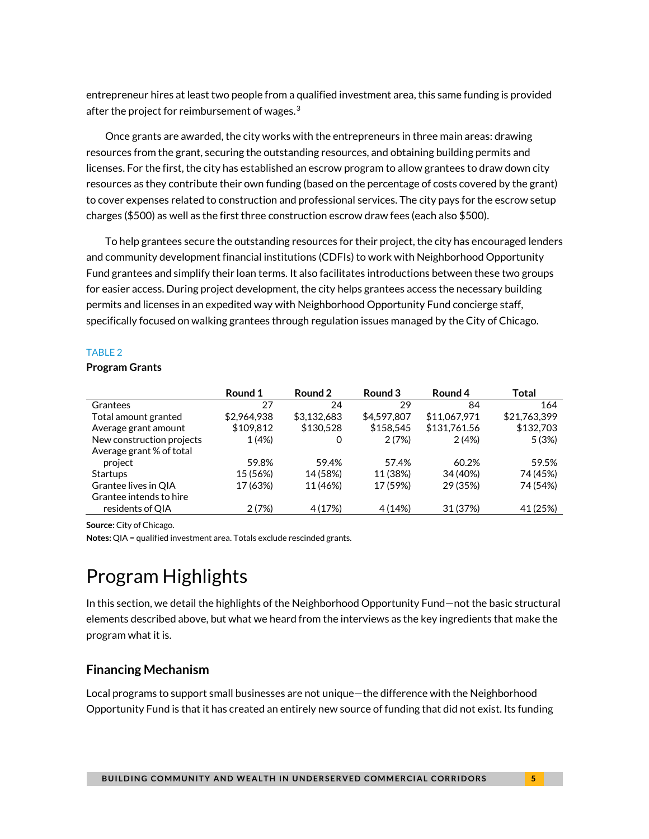entrepreneur hires at least two people from a qualified investment area, this same funding is provided after the project for reimbursement of wages. $3$ 

Once grants are awarded, the city works with the entrepreneurs in three main areas: drawing resources from the grant, securing the outstanding resources, and obtaining building permits and licenses. For the first, the city has established an escrow program to allow grantees to draw down city resources as they contribute their own funding (based on the percentage of costs covered by the grant) to cover expenses related to construction and professional services. The city pays for the escrow setup charges (\$500) as well as the first three construction escrow draw fees (each also \$500).

To help grantees secure the outstanding resources for their project, the city has encouraged lenders and community development financial institutions (CDFIs) to work with Neighborhood Opportunity Fund grantees and simplify their loan terms. It also facilitates introductions between these two groups for easier access. During project development, the city helps grantees access the necessary building permits and licenses in an expedited way with Neighborhood Opportunity Fund concierge staff, specifically focused on walking grantees through regulation issues managed by the City of Chicago.

#### TABLE 2

#### **Program Grants**

|                           | Round 1     | Round 2     | Round 3     | Round 4      | Total        |
|---------------------------|-------------|-------------|-------------|--------------|--------------|
| Grantees                  | 27          | 24          | 29          | 84           | 164          |
| Total amount granted      | \$2,964,938 | \$3,132,683 | \$4,597,807 | \$11.067.971 | \$21,763,399 |
| Average grant amount      | \$109.812   | \$130,528   | \$158,545   | \$131,761.56 | \$132,703    |
| New construction projects | 1 (4%)      | 0           | 2(7%)       | 2(4%)        | 5(3%)        |
| Average grant % of total  |             |             |             |              |              |
| project                   | 59.8%       | 59.4%       | 57.4%       | 60.2%        | 59.5%        |
| <b>Startups</b>           | 15 (56%)    | 14 (58%)    | 11 (38%)    | 34 (40%)     | 74 (45%)     |
| Grantee lives in QIA      | 17 (63%)    | 11 (46%)    | 17 (59%)    | 29 (35%)     | 74 (54%)     |
| Grantee intends to hire   |             |             |             |              |              |
| residents of QIA          | 2(7%)       | 4 (17%)     | 4 (14%)     | 31 (37%)     | 41 (25%)     |

**Source:** City of Chicago.

**Notes:** QIA = qualified investment area. Totals exclude rescinded grants.

# Program Highlights

In this section, we detail the highlights of the Neighborhood Opportunity Fund—not the basic structural elements described above, but what we heard from the interviews as the key ingredients that make the program what it is.

### **Financing Mechanism**

Local programs to support small businesses are not unique—the difference with the Neighborhood Opportunity Fund is that it has created an entirely new source of funding that did not exist. Its funding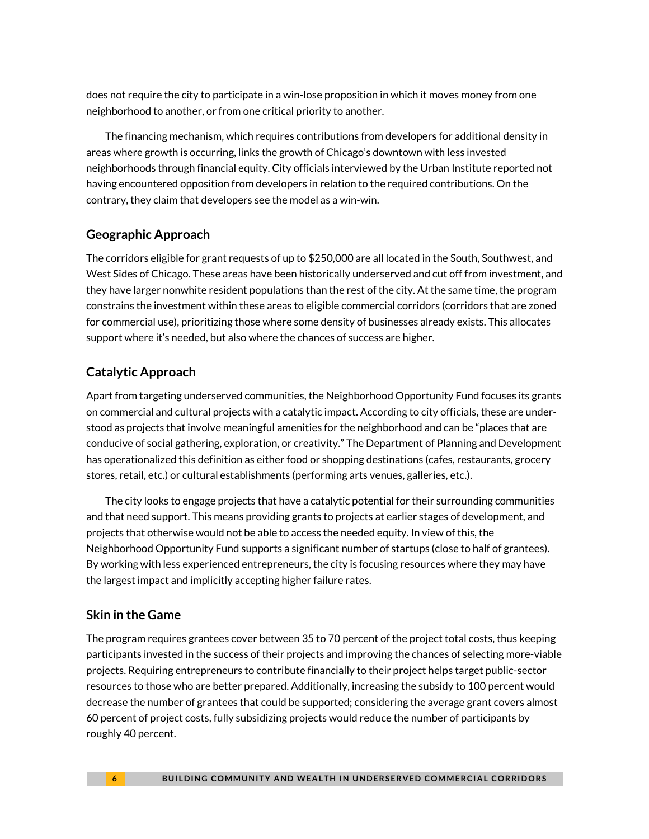does not require the city to participate in a win-lose proposition in which it moves money from one neighborhood to another, or from one critical priority to another.

The financing mechanism, which requires contributions from developers for additional density in areas where growth is occurring, links the growth of Chicago's downtown with less invested neighborhoods through financial equity. City officials interviewed by the Urban Institute reported not having encountered opposition from developers in relation to the required contributions. On the contrary, they claim that developers see the model as a win-win.

### **Geographic Approach**

The corridors eligible for grant requests of up to \$250,000 are all located in the South, Southwest, and West Sides of Chicago. These areas have been historically underserved and cut off from investment, and they have larger nonwhite resident populations than the rest of the city. At the same time, the program constrains the investment within these areas to eligible commercial corridors (corridors that are zoned for commercial use), prioritizing those where some density of businesses already exists. This allocates support where it's needed, but also where the chances of success are higher.

### **Catalytic Approach**

Apart from targeting underserved communities, the Neighborhood Opportunity Fund focuses its grants on commercial and cultural projects with a catalytic impact. According to city officials, these are understood as projects that involve meaningful amenities for the neighborhood and can be "places that are conducive of social gathering, exploration, or creativity." The Department of Planning and Development has operationalized this definition as either food or shopping destinations (cafes, restaurants, grocery stores, retail, etc.) or cultural establishments (performing arts venues, galleries, etc.).

The city looks to engage projects that have a catalytic potential for their surrounding communities and that need support. This means providing grants to projects at earlier stages of development, and projects that otherwise would not be able to access the needed equity. In view of this, the Neighborhood Opportunity Fund supports a significant number of startups (close to half of grantees). By working with less experienced entrepreneurs, the city is focusing resources where they may have the largest impact and implicitly accepting higher failure rates.

### **Skin in the Game**

The program requires grantees cover between 35 to 70 percent of the project total costs, thus keeping participants invested in the success of their projects and improving the chances of selecting more-viable projects. Requiring entrepreneurs to contribute financially to their project helps target public-sector resources to those who are better prepared. Additionally, increasing the subsidy to 100 percent would decrease the number of grantees that could be supported; considering the average grant covers almost 60 percent of project costs, fully subsidizing projects would reduce the number of participants by roughly 40 percent.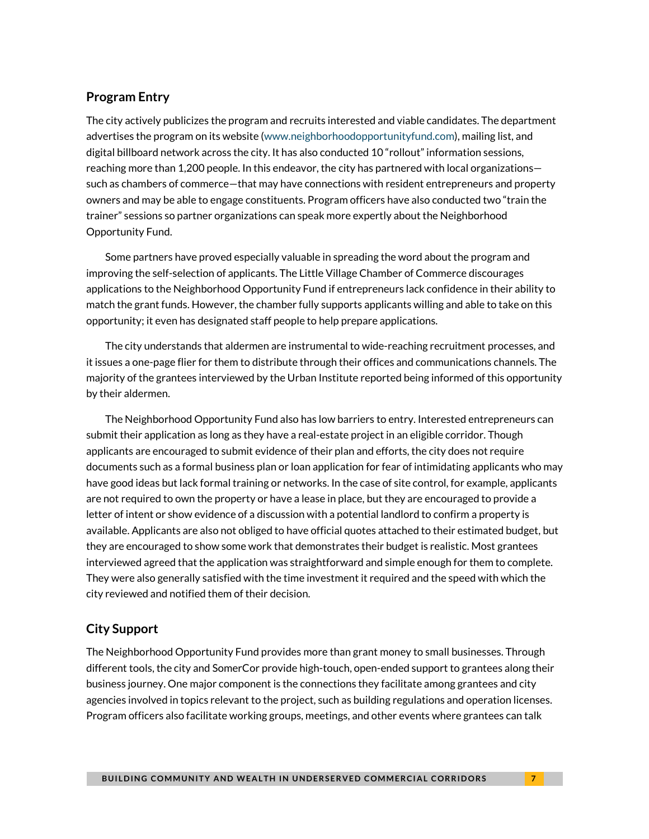#### **Program Entry**

The city actively publicizes the program and recruits interested and viable candidates. The department advertises the program on its website [\(www.neighborhoodopportunityfund.com\)](http://www.neighborhoodopportunityfund.com/), mailing list, and digital billboard network across the city. It has also conducted 10 "rollout" information sessions, reaching more than 1,200 people. In this endeavor, the city has partnered with local organizations such as chambers of commerce—that may have connections with resident entrepreneurs and property owners and may be able to engage constituents. Program officers have also conducted two "train the trainer" sessions so partner organizations can speak more expertly about the Neighborhood Opportunity Fund.

Some partners have proved especially valuable in spreading the word about the program and improving the self-selection of applicants. The Little Village Chamber of Commerce discourages applications to the Neighborhood Opportunity Fund if entrepreneurs lack confidence in their ability to match the grant funds. However, the chamber fully supports applicants willing and able to take on this opportunity; it even has designated staff people to help prepare applications.

The city understands that aldermen are instrumental to wide-reaching recruitment processes, and it issues a one-page flier for them to distribute through their offices and communications channels. The majority of the grantees interviewed by the Urban Institute reported being informed of this opportunity by their aldermen.

The Neighborhood Opportunity Fund also has low barriers to entry. Interested entrepreneurs can submit their application as long as they have a real-estate project in an eligible corridor. Though applicants are encouraged to submit evidence of their plan and efforts, the city does not require documents such as a formal business plan or loan application for fear of intimidating applicants who may have good ideas but lack formal training or networks. In the case of site control, for example, applicants are not required to own the property or have a lease in place, but they are encouraged to provide a letter of intent or show evidence of a discussion with a potential landlord to confirm a property is available. Applicants are also not obliged to have official quotes attached to their estimated budget, but they are encouraged to show some work that demonstrates their budget is realistic. Most grantees interviewed agreed that the application was straightforward and simple enough for them to complete. They were also generally satisfied with the time investment it required and the speed with which the city reviewed and notified them of their decision.

### **City Support**

The Neighborhood Opportunity Fund provides more than grant money to small businesses. Through different tools, the city and SomerCor provide high-touch, open-ended support to grantees along their business journey. One major component is the connections they facilitate among grantees and city agencies involved in topics relevant to the project, such as building regulations and operation licenses. Program officers also facilitate working groups, meetings, and other events where grantees can talk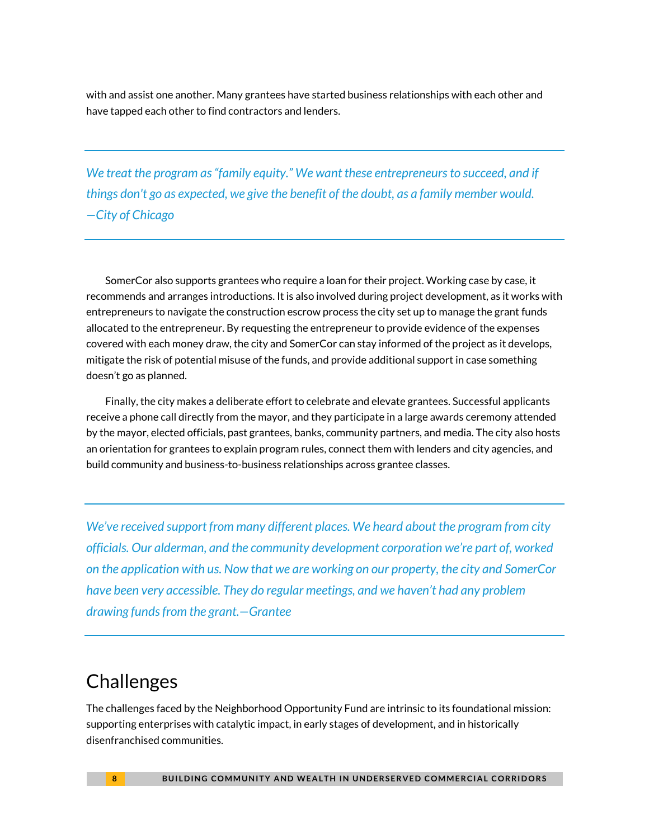with and assist one another. Many grantees have started business relationships with each other and have tapped each other to find contractors and lenders.

*We treat the program as "family equity." We want these entrepreneurs to succeed, and if things don't go as expected, we give the benefit of the doubt, as a family member would. —City of Chicago*

SomerCor also supports grantees who require a loan for their project. Working case by case, it recommends and arranges introductions. It is also involved during project development, as it works with entrepreneurs to navigate the construction escrow process the city set up to manage the grant funds allocated to the entrepreneur. By requesting the entrepreneur to provide evidence of the expenses covered with each money draw, the city and SomerCor can stay informed of the project as it develops, mitigate the risk of potential misuse of the funds, and provide additional support in case something doesn't go as planned.

Finally, the city makes a deliberate effort to celebrate and elevate grantees. Successful applicants receive a phone call directly from the mayor, and they participate in a large awards ceremony attended by the mayor, elected officials, past grantees, banks, community partners, and media. The city also hosts an orientation for grantees to explain program rules, connect them with lenders and city agencies, and build community and business-to-business relationships across grantee classes.

*We've received support from many different places. We heard about the program from city officials. Our alderman, and the community development corporation we're part of, worked on the application with us. Now that we are working on our property, the city and SomerCor have been very accessible. They do regular meetings, and we haven't had any problem drawing funds from the grant.—Grantee*

## **Challenges**

The challenges faced by the Neighborhood Opportunity Fund are intrinsic to its foundational mission: supporting enterprises with catalytic impact, in early stages of development, and in historically disenfranchised communities.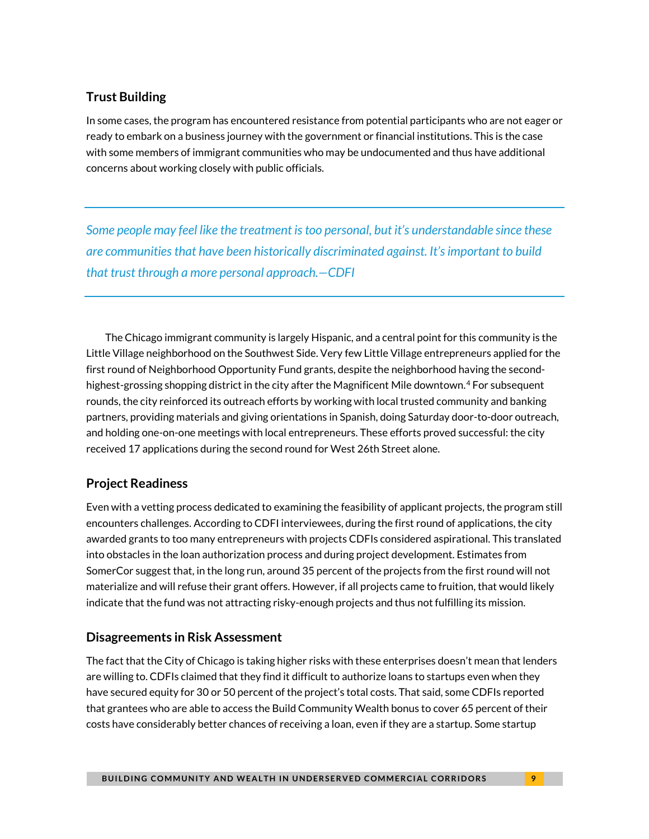### **Trust Building**

In some cases, the program has encountered resistance from potential participants who are not eager or ready to embark on a business journey with the government or financial institutions. This is the case with some members of immigrant communities who may be undocumented and thus have additional concerns about working closely with public officials.

*Some people may feel like the treatment is too personal, but it's understandable since these are communities that have been historically discriminated against. It's important to build that trust through a more personal approach.—CDFI*

The Chicago immigrant community is largely Hispanic, and a central point for this community is the Little Village neighborhood on the Southwest Side. Very few Little Village entrepreneurs applied for the first round of Neighborhood Opportunity Fund grants, despite the neighborhood having the secondhighest-grossing shopping district in the city after the Magnificent Mile downtown. [4](#page-12-3) For subsequent rounds, the city reinforced its outreach efforts by working with local trusted community and banking partners, providing materials and giving orientations in Spanish, doing Saturday door-to-door outreach, and holding one-on-one meetings with local entrepreneurs. These efforts proved successful: the city received 17 applications during the second round for West 26th Street alone.

### **Project Readiness**

Even with a vetting process dedicated to examining the feasibility of applicant projects, the program still encounters challenges. According to CDFI interviewees, during the first round of applications, the city awarded grants to too many entrepreneurs with projects CDFIs considered aspirational. This translated into obstacles in the loan authorization process and during project development. Estimates from SomerCor suggest that, in the long run, around 35 percent of the projects from the first round will not materialize and will refuse their grant offers. However, if all projects came to fruition, that would likely indicate that the fund was not attracting risky-enough projects and thus not fulfilling its mission.

### **Disagreements in Risk Assessment**

The fact that the City of Chicago is taking higher risks with these enterprises doesn't mean that lenders are willing to. CDFIs claimed that they find it difficult to authorize loans to startups even when they have secured equity for 30 or 50 percent of the project's total costs. That said, some CDFIs reported that grantees who are able to access the Build Community Wealth bonus to cover 65 percent of their costs have considerably better chances of receiving a loan, even if they are a startup. Some startup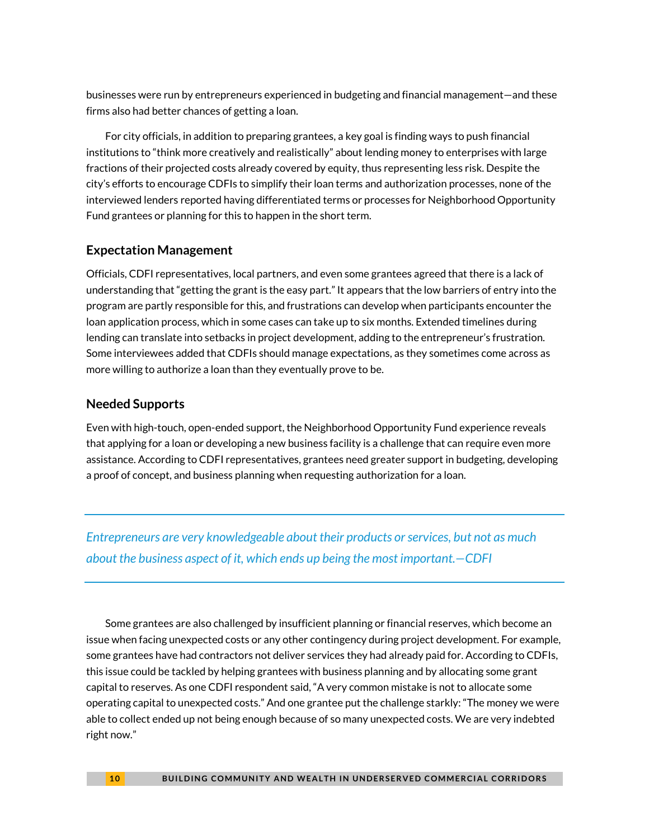businesses were run by entrepreneurs experienced in budgeting and financial management—and these firms also had better chances of getting a loan.

For city officials, in addition to preparing grantees, a key goal is finding ways to push financial institutions to "think more creatively and realistically" about lending money to enterprises with large fractions of their projected costs already covered by equity, thus representing less risk. Despite the city's efforts to encourage CDFIs to simplify their loan terms and authorization processes, none of the interviewed lenders reported having differentiated terms or processes for Neighborhood Opportunity Fund grantees or planning for this to happen in the short term.

### **Expectation Management**

Officials, CDFI representatives, local partners, and even some grantees agreed that there is a lack of understanding that "getting the grant is the easy part." It appears that the low barriers of entry into the program are partly responsible for this, and frustrations can develop when participants encounter the loan application process, which in some cases can take up to six months. Extended timelines during lending can translate into setbacks in project development, adding to the entrepreneur's frustration. Some interviewees added that CDFIs should manage expectations, as they sometimes come across as more willing to authorize a loan than they eventually prove to be.

### **Needed Supports**

Even with high-touch, open-ended support, the Neighborhood Opportunity Fund experience reveals that applying for a loan or developing a new business facility is a challenge that can require even more assistance. According to CDFI representatives, grantees need greater support in budgeting, developing a proof of concept, and business planning when requesting authorization for a loan.

*Entrepreneurs are very knowledgeable about their products or services, but not as much about the business aspect of it, which ends up being the most important.—CDFI*

Some grantees are also challenged by insufficient planning or financial reserves, which become an issue when facing unexpected costs or any other contingency during project development. For example, some grantees have had contractors not deliver services they had already paid for. According to CDFIs, this issue could be tackled by helping grantees with business planning and by allocating some grant capital to reserves. As one CDFI respondent said, "A very common mistake is not to allocate some operating capital to unexpected costs." And one grantee put the challenge starkly: "The money we were able to collect ended up not being enough because of so many unexpected costs. We are very indebted right now."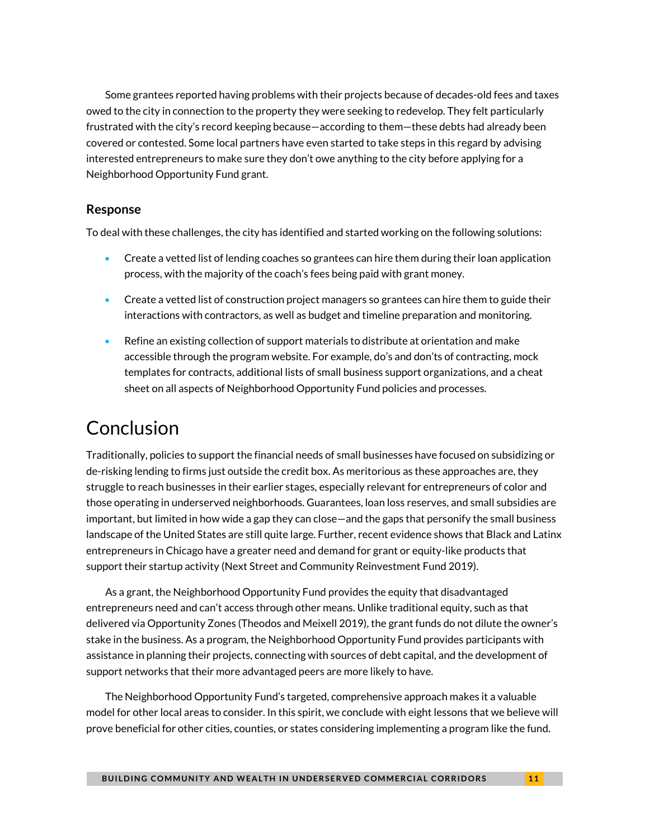Some grantees reported having problems with their projects because of decades-old fees and taxes owed to the city in connection to the property they were seeking to redevelop. They felt particularly frustrated with the city's record keeping because—according to them—these debts had already been covered or contested. Some local partners have even started to take steps in this regard by advising interested entrepreneurs to make sure they don't owe anything to the city before applying for a Neighborhood Opportunity Fund grant.

#### **Response**

To deal with these challenges, the city has identified and started working on the following solutions:

- **Create a vetted list of lending coaches so grantees can hire them during their loan application** process, with the majority of the coach's fees being paid with grant money.
- Create a vetted list of construction project managers so grantees can hire them to guide their interactions with contractors, as well as budget and timeline preparation and monitoring.
- Refine an existing collection of support materials to distribute at orientation and make accessible through the program website. For example, do's and don'ts of contracting, mock templates for contracts, additional lists of small business support organizations, and a cheat sheet on all aspects of Neighborhood Opportunity Fund policies and processes.

# Conclusion

Traditionally, policies to support the financial needs of small businesses have focused on subsidizing or de-risking lending to firms just outside the credit box. As meritorious as these approaches are, they struggle to reach businesses in their earlier stages, especially relevant for entrepreneurs of color and those operating in underserved neighborhoods. Guarantees, loan loss reserves, and small subsidies are important, but limited in how wide a gap they can close—and the gaps that personify the small business landscape of the United States are still quite large. Further, recent evidence shows that Black and Latinx entrepreneurs in Chicago have a greater need and demand for grant or equity-like products that support their startup activity (Next Street and Community Reinvestment Fund 2019).

As a grant, the Neighborhood Opportunity Fund provides the equity that disadvantaged entrepreneurs need and can't access through other means. Unlike traditional equity, such as that delivered via Opportunity Zones (Theodos and Meixell 2019), the grant funds do not dilute the owner's stake in the business. As a program, the Neighborhood Opportunity Fund provides participants with assistance in planning their projects, connecting with sources of debt capital, and the development of support networks that their more advantaged peers are more likely to have.

The Neighborhood Opportunity Fund's targeted, comprehensive approach makes it a valuable model for other local areas to consider. In this spirit, we conclude with eight lessons that we believe will prove beneficial for other cities, counties, or states considering implementing a program like the fund.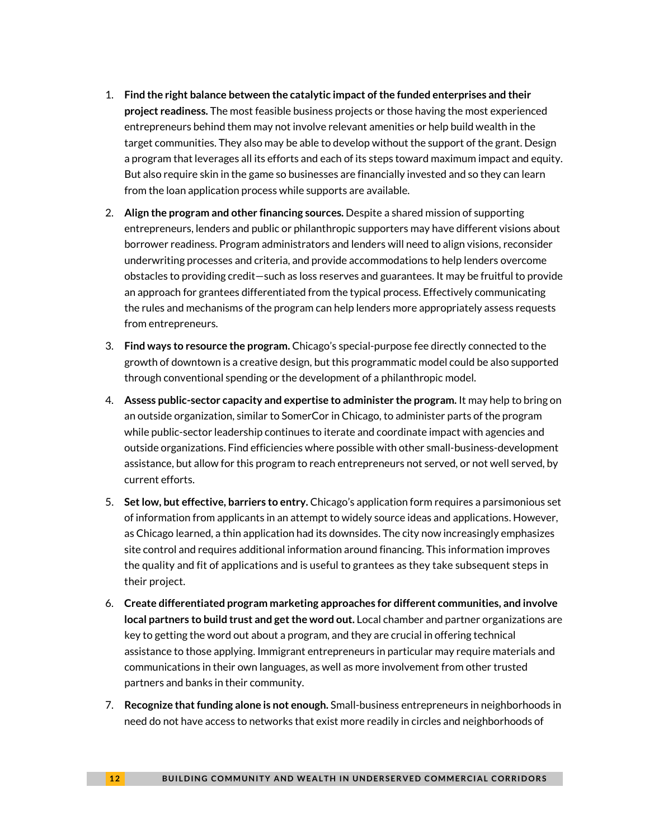- 1. **Find the right balance between the catalytic impact of the funded enterprises and their project readiness.** The most feasible business projects or those having the most experienced entrepreneurs behind them may not involve relevant amenities or help build wealth in the target communities. They also may be able to develop without the support of the grant. Design a program that leverages all its efforts and each of its steps toward maximum impact and equity. But also require skin in the game so businesses are financially invested and so they can learn from the loan application process while supports are available.
- 2. **Align the program and other financing sources.** Despite a shared mission of supporting entrepreneurs, lenders and public or philanthropic supporters may have different visions about borrower readiness. Program administrators and lenders will need to align visions, reconsider underwriting processes and criteria, and provide accommodations to help lenders overcome obstacles to providing credit—such as loss reserves and guarantees. It may be fruitful to provide an approach for grantees differentiated from the typical process. Effectively communicating the rules and mechanisms of the program can help lenders more appropriately assess requests from entrepreneurs.
- 3. **Find ways to resource the program.** Chicago's special-purpose fee directly connected to the growth of downtown is a creative design, but this programmatic model could be also supported through conventional spending or the development of a philanthropic model.
- 4. **Assess public-sector capacity and expertise to administer the program.** It may help to bring on an outside organization, similar to SomerCor in Chicago, to administer parts of the program while public-sector leadership continues to iterate and coordinate impact with agencies and outside organizations. Find efficiencies where possible with other small-business-development assistance, but allow for this program to reach entrepreneurs not served, or not well served, by current efforts.
- 5. **Set low, but effective, barriers to entry.** Chicago's application form requires a parsimonious set of information from applicants in an attempt to widely source ideas and applications. However, as Chicago learned, a thin application had its downsides. The city now increasingly emphasizes site control and requires additional information around financing. This information improves the quality and fit of applications and is useful to grantees as they take subsequent steps in their project.
- 6. **Create differentiated program marketing approaches for different communities, and involve local partners to build trust and get the word out.** Local chamber and partner organizations are key to getting the word out about a program, and they are crucial in offering technical assistance to those applying. Immigrant entrepreneurs in particular may require materials and communications in their own languages, as well as more involvement from other trusted partners and banks in their community.
- 7. **Recognize that funding alone is not enough.** Small-business entrepreneurs in neighborhoods in need do not have access to networks that exist more readily in circles and neighborhoods of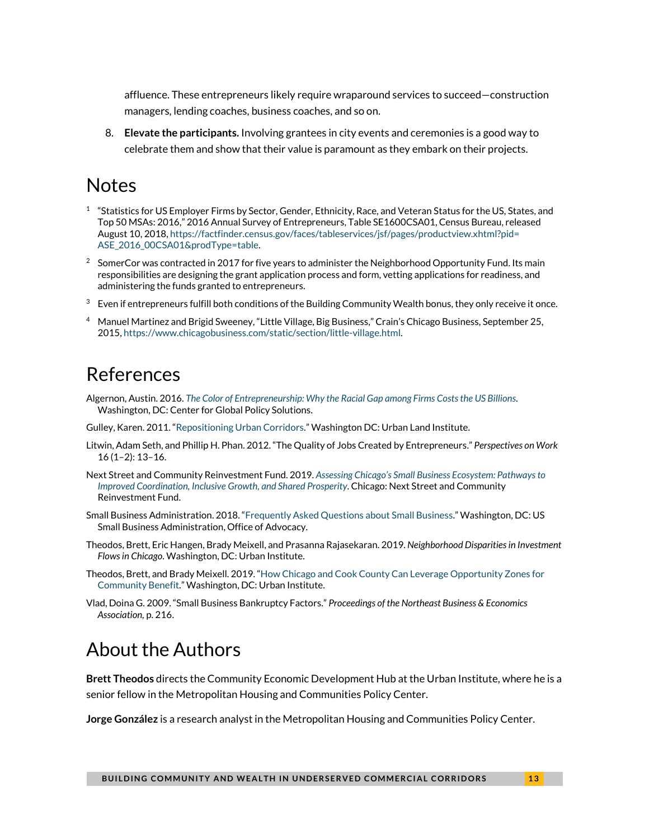affluence. These entrepreneurs likely require wraparound services to succeed—construction managers, lending coaches, business coaches, and so on.

8. **Elevate the participants.** Involving grantees in city events and ceremonies is a good way to celebrate them and show that their value is paramount as they embark on their projects.

### **Notes**

- <span id="page-12-0"></span> $1$  "Statistics for US Employer Firms by Sector, Gender, Ethnicity, Race, and Veteran Status for the US, States, and Top 50 MSAs: 2016," 2016 Annual Survey of Entrepreneurs, Table SE1600CSA01, Census Bureau, released August 10, 2018[, https://factfinder.census.gov/faces/tableservices/jsf/pages/productview.xhtml?pid=](https://factfinder.census.gov/faces/tableservices/jsf/pages/productview.xhtml?pid=ASE_2016_00CSA01&prodType=table) [ASE\\_2016\\_00CSA01&prodType=table.](https://factfinder.census.gov/faces/tableservices/jsf/pages/productview.xhtml?pid=ASE_2016_00CSA01&prodType=table)
- <span id="page-12-1"></span> $^2$  SomerCor was contracted in 2017 for five years to administer the Neighborhood Opportunity Fund. Its main responsibilities are designing the grant application process and form, vetting applications for readiness, and administering the funds granted to entrepreneurs.
- <span id="page-12-2"></span> $3$  Even if entrepreneurs fulfill both conditions of the Building Community Wealth bonus, they only receive it once.
- <span id="page-12-3"></span><sup>4</sup> Manuel Martinez and Brigid Sweeney, "Little Village, Big Business," Crain's Chicago Business, September 25, 2015[, https://www.chicagobusiness.com/static/section/little-village.html.](https://www.chicagobusiness.com/static/section/little-village.html)

## References

- Algernon, Austin. 2016. *[The Color of Entrepreneurship: Why the Racial Gap among Firms Costs the US Billions](http://globalpolicysolutions.org/wp-content/uploads/2016/04/Color-of-Entrepreneurship-report-final.pdf)*. Washington, DC: Center for Global Policy Solutions.
- Gulley, Karen. 2011. ["Repositioning Urban Corridors."](https://urbanland.uli.org/economy-markets-trends/repositioning-urban-corridors/) Washington DC: Urban Land Institute.
- Litwin, Adam Seth, and Phillip H. Phan. 2012. "The Quality of Jobs Created by Entrepreneurs." *Perspectives on Work*  16 (1–2): 13–16.
- Next Street and Community Reinvestment Fund. 2019. *[Assessing Chicago's Small Business Ecosystem: Pathways to](https://cct.org/wp-content/uploads/2019/01/ChicagoSmallBusinessEcosystem_2019.pdf)  [Improved Coordination, Inclusive Growth, and Shared Prosperity](https://cct.org/wp-content/uploads/2019/01/ChicagoSmallBusinessEcosystem_2019.pdf)*. Chicago: Next Street and Community Reinvestment Fund.
- Small Business Administration. 2018. ["Frequently Asked Questions about Small Business."](https://www.sba.gov/sites/default/files/advocacy/Frequently-Asked-Questions-Small-Business-2018.pdf) Washington, DC: US Small Business Administration, Office of Advocacy.
- Theodos, Brett, Eric Hangen, Brady Meixell, and Prasanna Rajasekaran. 2019. *Neighborhood Disparities in Investment Flows in Chicago*. Washington, DC: Urban Institute.
- Theodos, Brett, and Brady Meixell. 2019. ["How Chicago and Cook County Can Leverage Opportunity Zones for](https://www.urban.org/research/publication/how-chicago-and-cook-county-can-leverage-opportunity-zones-community-benefit)  [Community Benefit."](https://www.urban.org/research/publication/how-chicago-and-cook-county-can-leverage-opportunity-zones-community-benefit) Washington, DC: Urban Institute.
- Vlad, Doina G. 2009. "Small Business Bankruptcy Factors." *Proceedings of the Northeast Business & Economics Association,* p. 216.

## About the Authors

**Brett Theodos** directs the Community Economic Development Hub at the Urban Institute, where he is a senior fellow in the Metropolitan Housing and Communities Policy Center.

**Jorge González** is a research analyst in the Metropolitan Housing and Communities Policy Center.